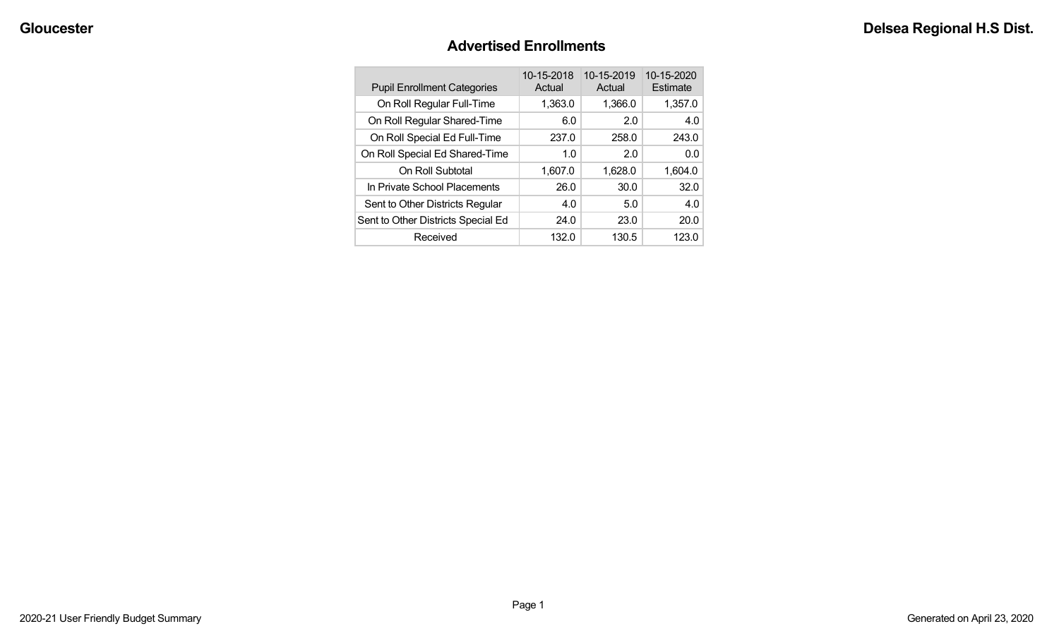### **Advertised Enrollments**

| <b>Pupil Enrollment Categories</b> | 10-15-2018<br>Actual | 10-15-2019<br>Actual | 10-15-2020<br>Estimate |
|------------------------------------|----------------------|----------------------|------------------------|
| On Roll Regular Full-Time          | 1,363.0              | 1,366.0              | 1,357.0                |
| On Roll Regular Shared-Time        | 6.0                  | 2.0                  | 4.0                    |
| On Roll Special Ed Full-Time       | 237.0                | 258.0                | 243.0                  |
| On Roll Special Ed Shared-Time     | 1.0                  | 2.0                  | 0.0                    |
| On Roll Subtotal                   | 1,607.0              | 1,628.0              | 1.604.0                |
| In Private School Placements       | 26.0                 | 30.0                 | 32.0                   |
| Sent to Other Districts Regular    | 4.0                  | 5.0                  | 4.0                    |
| Sent to Other Districts Special Ed | 24.0                 | 23.0                 | 20.0                   |
| Received                           | 132.0                | 130.5                | 123.0                  |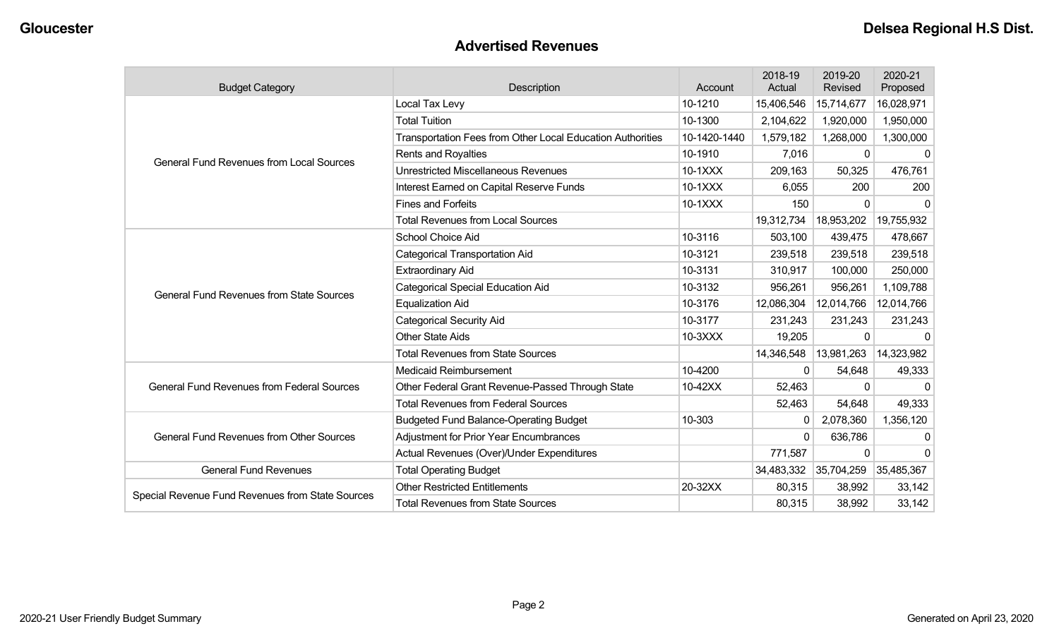### **Advertised Revenues**

| <b>Budget Category</b>                            | Description                                                | Account      | 2018-19<br>Actual | 2019-20<br>Revised | 2020-21<br>Proposed |
|---------------------------------------------------|------------------------------------------------------------|--------------|-------------------|--------------------|---------------------|
|                                                   | Local Tax Levy                                             | 10-1210      | 15,406,546        | 15,714,677         | 16,028,971          |
|                                                   | <b>Total Tuition</b>                                       | 10-1300      | 2,104,622         | 1,920,000          | 1,950,000           |
|                                                   | Transportation Fees from Other Local Education Authorities | 10-1420-1440 | 1,579,182         | 1,268,000          | 1,300,000           |
| <b>General Fund Revenues from Local Sources</b>   | <b>Rents and Royalties</b>                                 | 10-1910      | 7,016             | 0                  | $\mathbf{0}$        |
|                                                   | <b>Unrestricted Miscellaneous Revenues</b>                 | 10-1XXX      | 209,163           | 50,325             | 476,761             |
|                                                   | Interest Earned on Capital Reserve Funds                   | 10-1XXX      | 6,055             | 200                | 200                 |
|                                                   | <b>Fines and Forfeits</b>                                  | 10-1XXX      | 150               | $\mathbf{0}$       | $\Omega$            |
|                                                   | <b>Total Revenues from Local Sources</b>                   |              | 19,312,734        | 18,953,202         | 19,755,932          |
|                                                   | School Choice Aid                                          | 10-3116      | 503,100           | 439,475            | 478,667             |
|                                                   | <b>Categorical Transportation Aid</b>                      | 10-3121      | 239,518           | 239,518            | 239,518             |
|                                                   | <b>Extraordinary Aid</b>                                   | 10-3131      | 310,917           | 100,000            | 250,000             |
| <b>General Fund Revenues from State Sources</b>   | <b>Categorical Special Education Aid</b>                   | 10-3132      | 956,261           | 956,261            | 1,109,788           |
|                                                   | <b>Equalization Aid</b>                                    | 10-3176      | 12,086,304        | 12,014,766         | 12,014,766          |
|                                                   | <b>Categorical Security Aid</b>                            | 10-3177      | 231,243           | 231,243            | 231,243             |
|                                                   | <b>Other State Aids</b>                                    | 10-3XXX      | 19,205            | 0                  | $\Omega$            |
|                                                   | <b>Total Revenues from State Sources</b>                   |              | 14,346,548        | 13,981,263         | 14,323,982          |
|                                                   | <b>Medicaid Reimbursement</b>                              | 10-4200      | 0                 | 54,648             | 49,333              |
| <b>General Fund Revenues from Federal Sources</b> | Other Federal Grant Revenue-Passed Through State           | 10-42XX      | 52,463            | $\mathbf 0$        | $\Omega$            |
|                                                   | <b>Total Revenues from Federal Sources</b>                 |              | 52,463            | 54,648             | 49,333              |
|                                                   | <b>Budgeted Fund Balance-Operating Budget</b>              | 10-303       | 0                 | 2,078,360          | 1,356,120           |
| <b>General Fund Revenues from Other Sources</b>   | <b>Adjustment for Prior Year Encumbrances</b>              |              | 0                 | 636,786            | 0                   |
|                                                   | Actual Revenues (Over)/Under Expenditures                  |              | 771,587           | $\mathbf{0}$       | $\Omega$            |
| <b>General Fund Revenues</b>                      | <b>Total Operating Budget</b>                              |              | 34,483,332        | 35,704,259         | 35,485,367          |
| Special Revenue Fund Revenues from State Sources  | <b>Other Restricted Entitlements</b>                       | 20-32XX      | 80,315            | 38,992             | 33,142              |
|                                                   | <b>Total Revenues from State Sources</b>                   |              | 80,315            | 38,992             | 33,142              |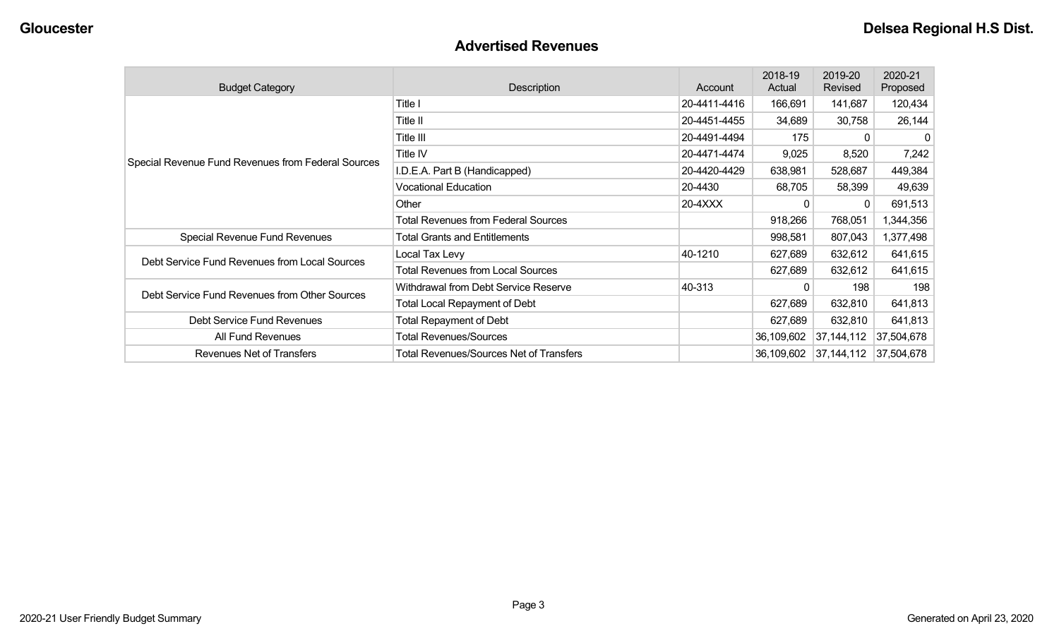#### **Advertised Revenues**

| <b>Budget Category</b>                             | Description                                    | Account      | 2018-19<br>Actual | 2019-20<br>Revised    | 2020-21<br>Proposed |
|----------------------------------------------------|------------------------------------------------|--------------|-------------------|-----------------------|---------------------|
|                                                    | Title I                                        | 20-4411-4416 | 166,691           | 141,687               | 120,434             |
|                                                    | Title II                                       | 20-4451-4455 | 34,689            | 30,758                | 26,144              |
|                                                    | Title III                                      | 20-4491-4494 | 175               | 0                     | 0                   |
|                                                    | Title IV                                       | 20-4471-4474 | 9,025             | 8,520                 | 7,242               |
| Special Revenue Fund Revenues from Federal Sources | I.D.E.A. Part B (Handicapped)                  | 20-4420-4429 | 638,981           | 528,687               | 449,384             |
|                                                    | <b>Vocational Education</b>                    | 20-4430      | 68,705            | 58,399                | 49,639              |
|                                                    | Other                                          | 20-4XXX      | 0                 | 0                     | 691,513             |
|                                                    | <b>Total Revenues from Federal Sources</b>     |              | 918,266           | 768,051               | 1,344,356           |
| Special Revenue Fund Revenues                      | <b>Total Grants and Entitlements</b>           |              | 998,581           | 807,043               | 1,377,498           |
| Debt Service Fund Revenues from Local Sources      | Local Tax Levy                                 | 40-1210      | 627,689           | 632,612               | 641,615             |
|                                                    | <b>Total Revenues from Local Sources</b>       |              | 627,689           | 632,612               | 641,615             |
| Debt Service Fund Revenues from Other Sources      | Withdrawal from Debt Service Reserve           | 40-313       | 0                 | 198                   | 198                 |
|                                                    | <b>Total Local Repayment of Debt</b>           |              | 627,689           | 632,810               | 641,813             |
| Debt Service Fund Revenues                         | <b>Total Repayment of Debt</b>                 |              | 627,689           | 632,810               | 641,813             |
| All Fund Revenues                                  | <b>Total Revenues/Sources</b>                  |              | 36,109,602        | 37,144,112            | 37,504,678          |
| Revenues Net of Transfers                          | <b>Total Revenues/Sources Net of Transfers</b> |              | 36,109,602        | 37,144,112 37,504,678 |                     |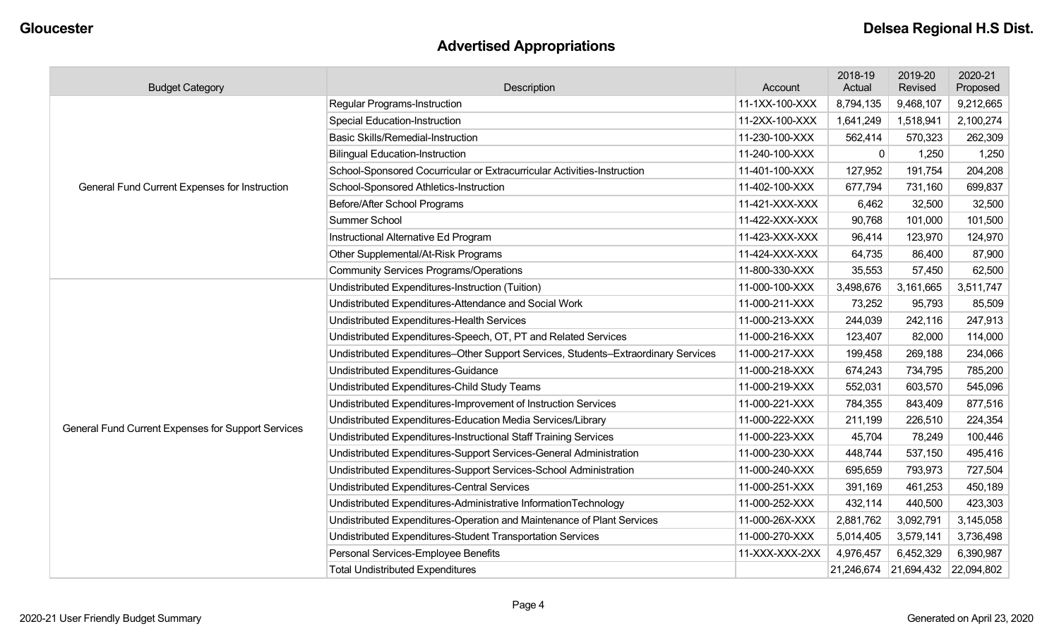# **Advertised Appropriations**

| <b>Budget Category</b>                             | Description                                                                        | Account        | 2018-19<br>Actual | 2019-20<br>Revised    | 2020-21<br>Proposed |
|----------------------------------------------------|------------------------------------------------------------------------------------|----------------|-------------------|-----------------------|---------------------|
|                                                    | <b>Regular Programs-Instruction</b>                                                | 11-1XX-100-XXX | 8,794,135         | 9,468,107             | 9,212,665           |
|                                                    | <b>Special Education-Instruction</b>                                               | 11-2XX-100-XXX | 1,641,249         | 1,518,941             | 2,100,274           |
|                                                    | <b>Basic Skills/Remedial-Instruction</b>                                           | 11-230-100-XXX | 562,414           | 570,323               | 262,309             |
|                                                    | <b>Bilingual Education-Instruction</b>                                             | 11-240-100-XXX | $\mathbf 0$       | 1,250                 | 1,250               |
|                                                    | School-Sponsored Cocurricular or Extracurricular Activities-Instruction            | 11-401-100-XXX | 127,952           | 191,754               | 204,208             |
| General Fund Current Expenses for Instruction      | School-Sponsored Athletics-Instruction                                             | 11-402-100-XXX | 677,794           | 731,160               | 699,837             |
|                                                    | Before/After School Programs                                                       | 11-421-XXX-XXX | 6,462             | 32,500                | 32,500              |
|                                                    | Summer School                                                                      | 11-422-XXX-XXX | 90,768            | 101,000               | 101,500             |
|                                                    | Instructional Alternative Ed Program                                               | 11-423-XXX-XXX | 96,414            | 123,970               | 124,970             |
|                                                    | Other Supplemental/At-Risk Programs                                                | 11-424-XXX-XXX | 64,735            | 86,400                | 87,900              |
|                                                    | <b>Community Services Programs/Operations</b>                                      | 11-800-330-XXX | 35,553            | 57,450                | 62,500              |
|                                                    | Undistributed Expenditures-Instruction (Tuition)                                   | 11-000-100-XXX | 3,498,676         | 3,161,665             | 3,511,747           |
|                                                    | Undistributed Expenditures-Attendance and Social Work                              | 11-000-211-XXX | 73,252            | 95,793                | 85,509              |
|                                                    | Undistributed Expenditures-Health Services                                         | 11-000-213-XXX | 244,039           | 242,116               | 247,913             |
|                                                    | Undistributed Expenditures-Speech, OT, PT and Related Services                     | 11-000-216-XXX | 123,407           | 82,000                | 114,000             |
|                                                    | Undistributed Expenditures-Other Support Services, Students-Extraordinary Services | 11-000-217-XXX | 199,458           | 269,188               | 234,066             |
|                                                    | Undistributed Expenditures-Guidance                                                | 11-000-218-XXX | 674,243           | 734,795               | 785,200             |
|                                                    | Undistributed Expenditures-Child Study Teams                                       | 11-000-219-XXX | 552,031           | 603,570               | 545,096             |
|                                                    | Undistributed Expenditures-Improvement of Instruction Services                     | 11-000-221-XXX | 784,355           | 843,409               | 877,516             |
| General Fund Current Expenses for Support Services | Undistributed Expenditures-Education Media Services/Library                        | 11-000-222-XXX | 211,199           | 226,510               | 224,354             |
|                                                    | Undistributed Expenditures-Instructional Staff Training Services                   | 11-000-223-XXX | 45,704            | 78,249                | 100,446             |
|                                                    | Undistributed Expenditures-Support Services-General Administration                 | 11-000-230-XXX | 448,744           | 537,150               | 495,416             |
|                                                    | Undistributed Expenditures-Support Services-School Administration                  | 11-000-240-XXX | 695,659           | 793,973               | 727,504             |
|                                                    | Undistributed Expenditures-Central Services                                        | 11-000-251-XXX | 391,169           | 461,253               | 450,189             |
|                                                    | Undistributed Expenditures-Administrative InformationTechnology                    | 11-000-252-XXX | 432,114           | 440,500               | 423,303             |
|                                                    | Undistributed Expenditures-Operation and Maintenance of Plant Services             | 11-000-26X-XXX | 2,881,762         | 3,092,791             | 3,145,058           |
|                                                    | Undistributed Expenditures-Student Transportation Services                         | 11-000-270-XXX | 5,014,405         | 3,579,141             | 3,736,498           |
|                                                    | Personal Services-Employee Benefits                                                | 11-XXX-XXX-2XX | 4,976,457         | 6,452,329             | 6,390,987           |
|                                                    | <b>Total Undistributed Expenditures</b>                                            |                |                   | 21,246,674 21,694,432 | 22,094,802          |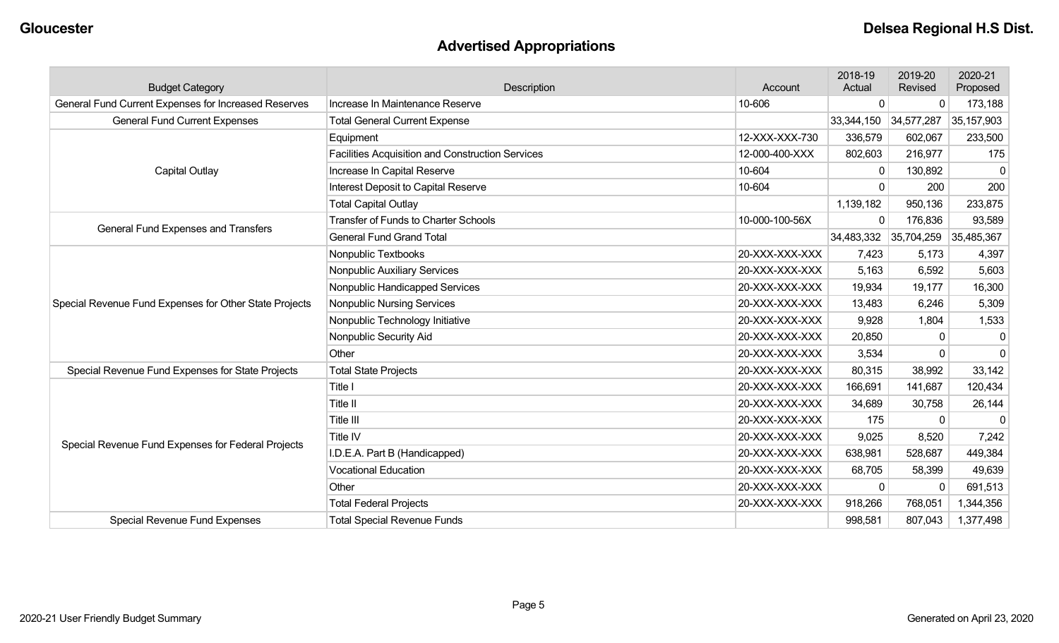# **Advertised Appropriations**

| <b>Budget Category</b>                                 | Description                                      | Account        | 2018-19<br>Actual | 2019-20<br>Revised | 2020-21<br>Proposed |
|--------------------------------------------------------|--------------------------------------------------|----------------|-------------------|--------------------|---------------------|
| General Fund Current Expenses for Increased Reserves   | Increase In Maintenance Reserve                  | 10-606         | 0                 | 0                  | 173,188             |
| <b>General Fund Current Expenses</b>                   | <b>Total General Current Expense</b>             |                | 33,344,150        | 34,577,287         | 35,157,903          |
|                                                        | Equipment                                        | 12-XXX-XXX-730 | 336,579           | 602,067            | 233,500             |
|                                                        | Facilities Acquisition and Construction Services | 12-000-400-XXX | 802,603           | 216,977            | 175                 |
| <b>Capital Outlay</b>                                  | Increase In Capital Reserve                      | 10-604         | 0                 | 130,892            | $\Omega$            |
|                                                        | Interest Deposit to Capital Reserve              | 10-604         | $\Omega$          | 200                | 200                 |
|                                                        | <b>Total Capital Outlay</b>                      |                | 1,139,182         | 950,136            | 233,875             |
| General Fund Expenses and Transfers                    | <b>Transfer of Funds to Charter Schools</b>      | 10-000-100-56X | $\Omega$          | 176,836            | 93,589              |
|                                                        | <b>General Fund Grand Total</b>                  |                | 34,483,332        | 35,704,259         | 35,485,367          |
|                                                        | Nonpublic Textbooks                              | 20-XXX-XXX-XXX | 7,423             | 5,173              | 4,397               |
|                                                        | Nonpublic Auxiliary Services                     | 20-XXX-XXX-XXX | 5,163             | 6,592              | 5,603               |
|                                                        | Nonpublic Handicapped Services                   | 20-XXX-XXX-XXX | 19,934            | 19,177             | 16,300              |
| Special Revenue Fund Expenses for Other State Projects | <b>Nonpublic Nursing Services</b>                | 20-XXX-XXX-XXX | 13,483            | 6,246              | 5,309               |
|                                                        | Nonpublic Technology Initiative                  | 20-XXX-XXX-XXX | 9,928             | 1,804              | 1,533               |
|                                                        | Nonpublic Security Aid                           | 20-XXX-XXX-XXX | 20,850            | $\Omega$           | $\mathbf 0$         |
|                                                        | Other                                            | 20-XXX-XXX-XXX | 3,534             | $\mathbf{0}$       | $\mathbf 0$         |
| Special Revenue Fund Expenses for State Projects       | <b>Total State Projects</b>                      | 20-XXX-XXX-XXX | 80,315            | 38,992             | 33,142              |
|                                                        | Title I                                          | 20-XXX-XXX-XXX | 166,691           | 141,687            | 120,434             |
|                                                        | <b>Title II</b>                                  | 20-XXX-XXX-XXX | 34,689            | 30,758             | 26,144              |
|                                                        | Title III                                        | 20-XXX-XXX-XXX | 175               | $\mathbf{0}$       | $\Omega$            |
| Special Revenue Fund Expenses for Federal Projects     | Title IV                                         | 20-XXX-XXX-XXX | 9,025             | 8,520              | 7,242               |
|                                                        | I.D.E.A. Part B (Handicapped)                    | 20-XXX-XXX-XXX | 638,981           | 528,687            | 449,384             |
|                                                        | <b>Vocational Education</b>                      | 20-XXX-XXX-XXX | 68,705            | 58,399             | 49,639              |
|                                                        | Other                                            | 20-XXX-XXX-XXX | $\mathbf{0}$      | $\Omega$           | 691,513             |
|                                                        | <b>Total Federal Projects</b>                    | 20-XXX-XXX-XXX | 918,266           | 768,051            | 1,344,356           |
| Special Revenue Fund Expenses                          | <b>Total Special Revenue Funds</b>               |                | 998,581           | 807,043            | 1,377,498           |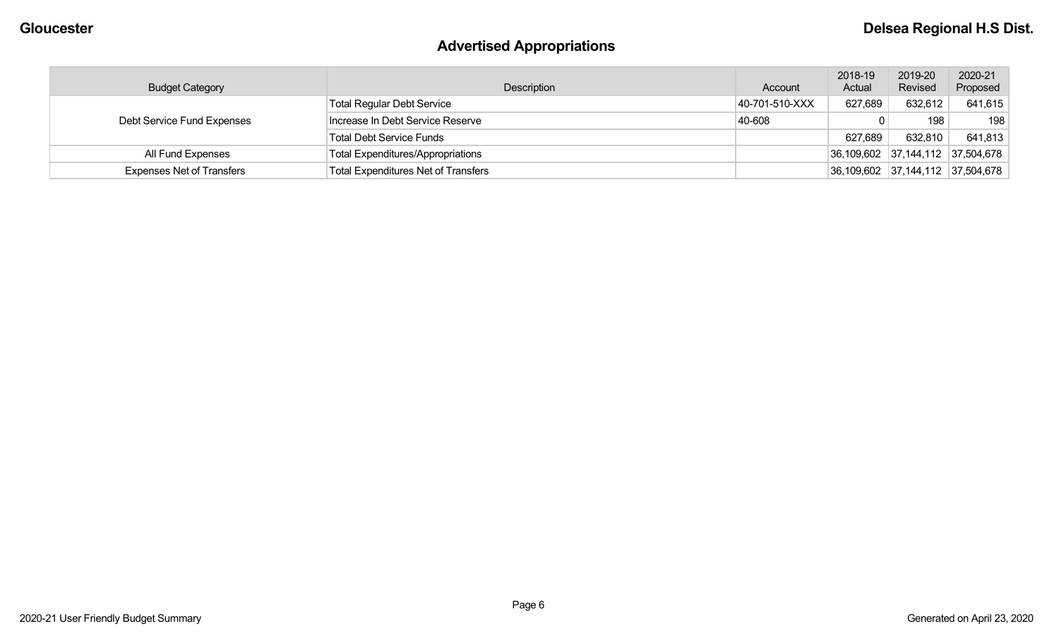# **Advertised Appropriations**

| <b>Budget Category</b>           | Description                                | Account        | 2018-19<br>Actual | 2019-20<br>Revised | 2020-21<br>Proposed              |
|----------------------------------|--------------------------------------------|----------------|-------------------|--------------------|----------------------------------|
|                                  | <b>Total Regular Debt Service</b>          | 40-701-510-XXX | 627,689           | 632,612            | 641,615                          |
| Debt Service Fund Expenses       | Increase In Debt Service Reserve           | 40-608         |                   | 198                | 198                              |
|                                  | <b>Total Debt Service Funds</b>            |                | 627,689           | 632,810            | 641,813                          |
| All Fund Expenses                | <b>Total Expenditures/Appropriations</b>   |                |                   |                    | 36,109,602 37,144,112 37,504,678 |
| <b>Expenses Net of Transfers</b> | <b>Total Expenditures Net of Transfers</b> |                |                   |                    | 36,109,602 37,144,112 37,504,678 |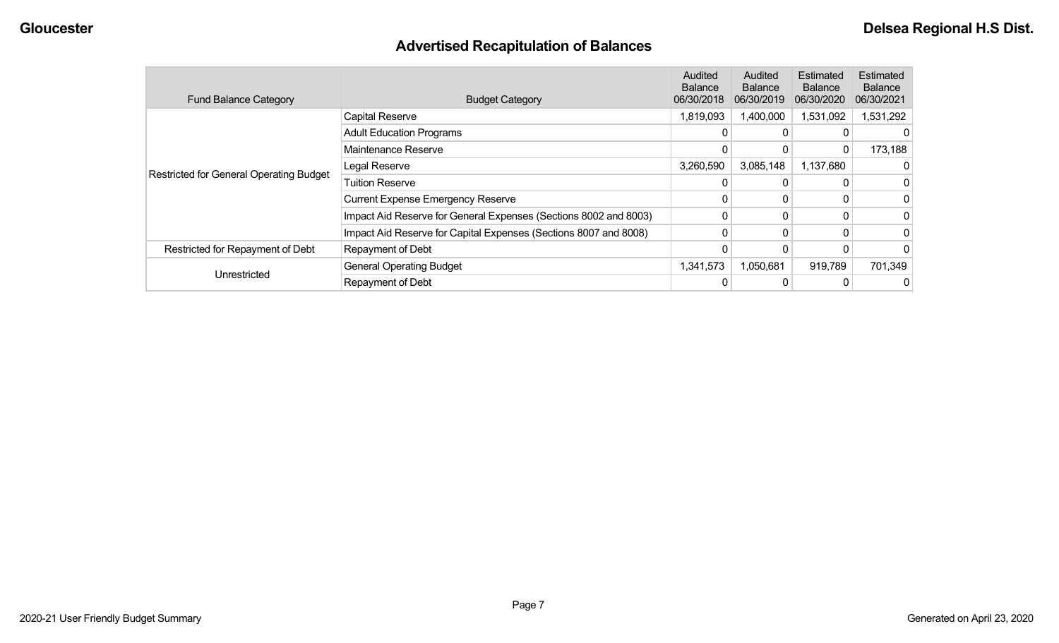# **Advertised Recapitulation of Balances**

| <b>Fund Balance Category</b>                   | <b>Budget Category</b>                                           | Audited<br><b>Balance</b><br>06/30/2018 | Audited<br><b>Balance</b><br>06/30/2019 | Estimated<br><b>Balance</b><br>06/30/2020 | Estimated<br><b>Balance</b><br>06/30/2021 |
|------------------------------------------------|------------------------------------------------------------------|-----------------------------------------|-----------------------------------------|-------------------------------------------|-------------------------------------------|
|                                                | Capital Reserve                                                  | 1,819,093                               | 1,400,000                               | 1,531,092                                 | 1,531,292                                 |
|                                                | <b>Adult Education Programs</b>                                  |                                         |                                         |                                           |                                           |
|                                                | Maintenance Reserve                                              |                                         |                                         | 0                                         | 173,188                                   |
| <b>Restricted for General Operating Budget</b> | Legal Reserve                                                    | 3,260,590                               | 3,085,148                               | 1,137,680                                 |                                           |
|                                                | <b>Tuition Reserve</b>                                           |                                         |                                         |                                           | 0                                         |
|                                                | <b>Current Expense Emergency Reserve</b>                         |                                         |                                         |                                           | 0                                         |
|                                                | Impact Aid Reserve for General Expenses (Sections 8002 and 8003) | $\Omega$                                |                                         |                                           | 0                                         |
|                                                | Impact Aid Reserve for Capital Expenses (Sections 8007 and 8008) |                                         |                                         |                                           | 0                                         |
| Restricted for Repayment of Debt               | Repayment of Debt                                                |                                         |                                         |                                           | $\Omega$                                  |
|                                                | <b>General Operating Budget</b>                                  | 1,341,573                               | 1,050,681                               | 919,789                                   | 701,349                                   |
| Unrestricted                                   | Repayment of Debt                                                |                                         |                                         |                                           | 0                                         |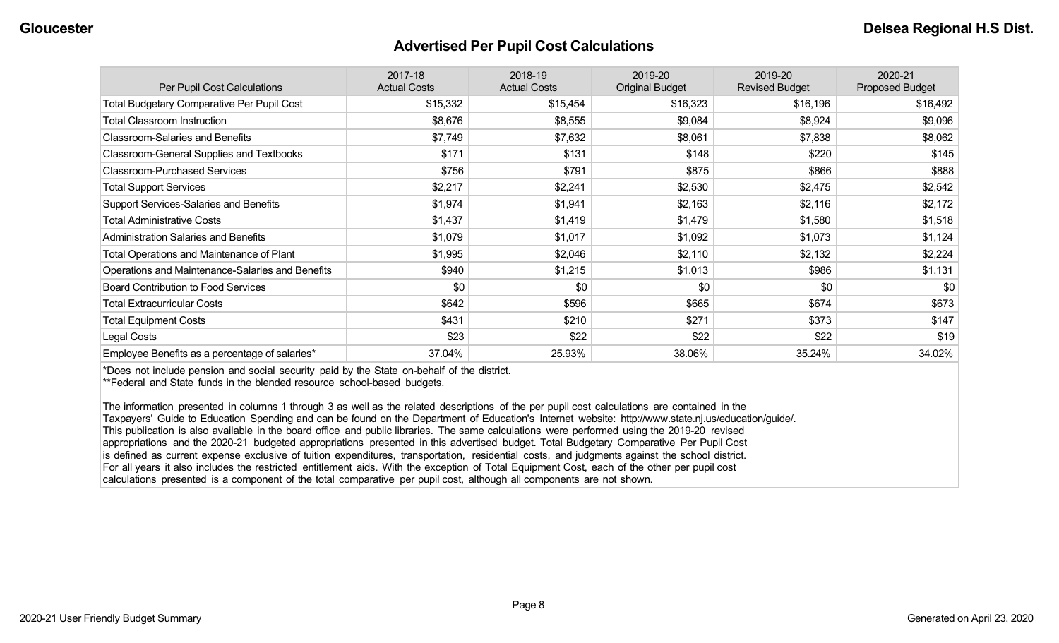#### **Advertised Per Pupil Cost Calculations**

| Per Pupil Cost Calculations                       | 2017-18<br><b>Actual Costs</b> | 2018-19<br><b>Actual Costs</b> | 2019-20<br><b>Original Budget</b> | 2019-20<br><b>Revised Budget</b> | 2020-21<br><b>Proposed Budget</b> |
|---------------------------------------------------|--------------------------------|--------------------------------|-----------------------------------|----------------------------------|-----------------------------------|
| <b>Total Budgetary Comparative Per Pupil Cost</b> | \$15,332                       | \$15,454                       | \$16,323                          | \$16,196                         | \$16,492                          |
| <b>Total Classroom Instruction</b>                | \$8,676                        | \$8,555                        | \$9,084                           | \$8,924                          | \$9,096                           |
| <b>Classroom-Salaries and Benefits</b>            | \$7,749                        | \$7,632                        | \$8,061                           | \$7,838                          | \$8,062                           |
| Classroom-General Supplies and Textbooks          | \$171                          | \$131                          | \$148                             | \$220                            | \$145                             |
| <b>Classroom-Purchased Services</b>               | \$756                          | \$791                          | \$875                             | \$866                            | \$888                             |
| <b>Total Support Services</b>                     | \$2,217                        | \$2,241                        | \$2,530                           | \$2,475                          | \$2,542                           |
| Support Services-Salaries and Benefits            | \$1,974                        | \$1,941                        | \$2,163                           | \$2,116                          | \$2,172                           |
| <b>Total Administrative Costs</b>                 | \$1,437                        | \$1,419                        | \$1,479                           | \$1,580                          | \$1,518                           |
| <b>Administration Salaries and Benefits</b>       | \$1,079                        | \$1,017                        | \$1,092                           | \$1,073                          | \$1,124                           |
| Total Operations and Maintenance of Plant         | \$1,995                        | \$2,046                        | \$2,110                           | \$2,132                          | \$2,224                           |
| Operations and Maintenance-Salaries and Benefits  | \$940                          | \$1,215                        | \$1,013                           | \$986                            | \$1,131                           |
| <b>Board Contribution to Food Services</b>        | \$0                            | \$0                            | \$0                               | \$0                              | \$0                               |
| <b>Total Extracurricular Costs</b>                | \$642                          | \$596                          | \$665                             | \$674                            | \$673                             |
| <b>Total Equipment Costs</b>                      | \$431                          | \$210                          | \$271                             | \$373                            | \$147                             |
| Legal Costs                                       | \$23                           | \$22                           | \$22                              | \$22                             | \$19                              |
| Employee Benefits as a percentage of salaries*    | 37.04%                         | 25.93%                         | 38.06%                            | 35.24%                           | 34.02%                            |

\*Does not include pension and social security paid by the State on-behalf of the district.

\*\*Federal and State funds in the blended resource school-based budgets.

The information presented in columns 1 through 3 as well as the related descriptions of the per pupil cost calculations are contained in the Taxpayers' Guide to Education Spending and can be found on the Department of Education's Internet website: http://www.state.nj.us/education/guide/. This publication is also available in the board office and public libraries. The same calculations were performed using the 2019-20 revised appropriations and the 2020-21 budgeted appropriations presented in this advertised budget. Total Budgetary Comparative Per Pupil Cost is defined as current expense exclusive of tuition expenditures, transportation, residential costs, and judgments against the school district. For all years it also includes the restricted entitlement aids. With the exception of Total Equipment Cost, each of the other per pupil cost calculations presented is a component of the total comparative per pupil cost, although all components are not shown.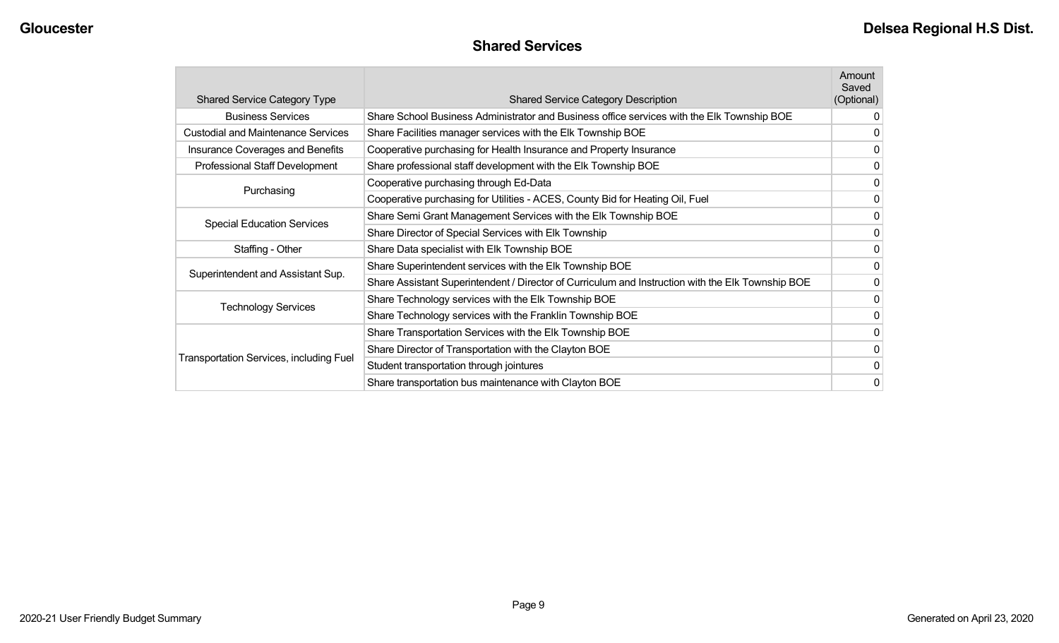### **Shared Services**

| <b>Shared Service Category Type</b>            | <b>Shared Service Category Description</b>                                                        | Amount<br>Saved<br>(Optional) |
|------------------------------------------------|---------------------------------------------------------------------------------------------------|-------------------------------|
| <b>Business Services</b>                       | Share School Business Administrator and Business office services with the Elk Township BOE        | 0                             |
| <b>Custodial and Maintenance Services</b>      | Share Facilities manager services with the Elk Township BOE                                       | 0                             |
| <b>Insurance Coverages and Benefits</b>        | Cooperative purchasing for Health Insurance and Property Insurance                                | 0                             |
| Professional Staff Development                 | Share professional staff development with the Elk Township BOE                                    | 0                             |
| Purchasing                                     | Cooperative purchasing through Ed-Data                                                            | 0                             |
|                                                | Cooperative purchasing for Utilities - ACES, County Bid for Heating Oil, Fuel                     | 0                             |
|                                                | Share Semi Grant Management Services with the Elk Township BOE                                    | 0                             |
| <b>Special Education Services</b>              | Share Director of Special Services with Elk Township                                              | 0                             |
| Staffing - Other                               | Share Data specialist with Elk Township BOE                                                       | 0                             |
| Superintendent and Assistant Sup.              | Share Superintendent services with the Elk Township BOE                                           | 0                             |
|                                                | Share Assistant Superintendent / Director of Curriculum and Instruction with the Elk Township BOE | 0                             |
|                                                | Share Technology services with the Elk Township BOE                                               | 0                             |
| <b>Technology Services</b>                     | Share Technology services with the Franklin Township BOE                                          | 0                             |
|                                                | Share Transportation Services with the Elk Township BOE                                           | $\mathbf{0}$                  |
|                                                | Share Director of Transportation with the Clayton BOE                                             | 0                             |
| <b>Transportation Services, including Fuel</b> | Student transportation through jointures                                                          | 0                             |
|                                                | Share transportation bus maintenance with Clayton BOE                                             | 0                             |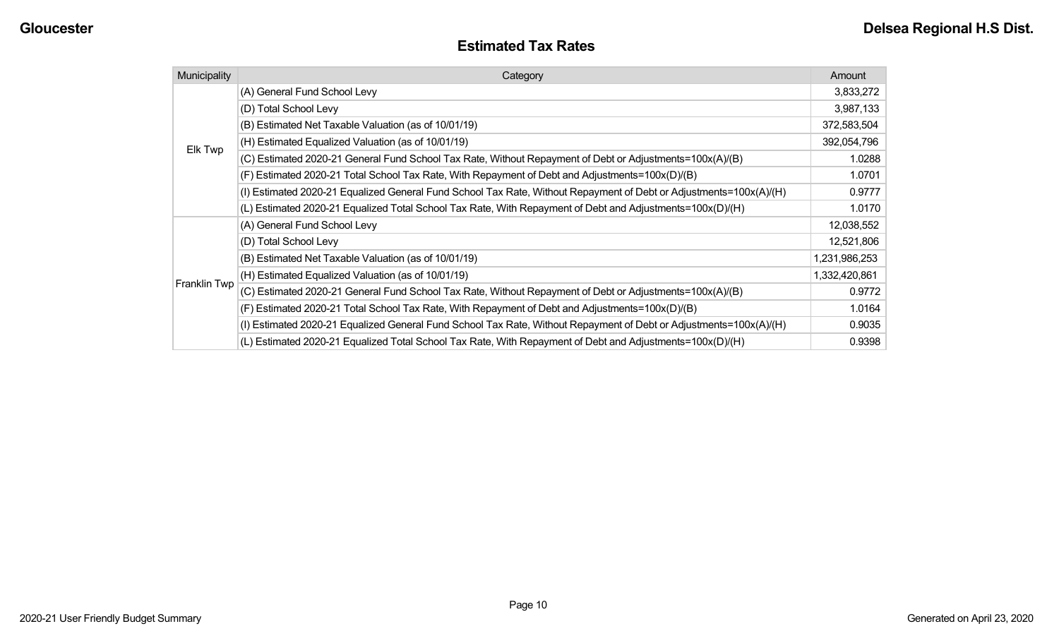| <b>Estimated Tax Rates</b> |
|----------------------------|
|----------------------------|

| Municipality | Category                                                                                                           | Amount        |
|--------------|--------------------------------------------------------------------------------------------------------------------|---------------|
|              | (A) General Fund School Levy                                                                                       | 3,833,272     |
|              | (D) Total School Levy                                                                                              | 3,987,133     |
|              | (B) Estimated Net Taxable Valuation (as of 10/01/19)                                                               | 372,583,504   |
| Elk Twp      | (H) Estimated Equalized Valuation (as of 10/01/19)                                                                 | 392,054,796   |
|              | (C) Estimated 2020-21 General Fund School Tax Rate, Without Repayment of Debt or Adjustments=100x(A)/(B)           | 1.0288        |
|              | (F) Estimated 2020-21 Total School Tax Rate, With Repayment of Debt and Adjustments=100x(D)/(B)                    | 1.0701        |
|              | (I) Estimated 2020-21 Equalized General Fund School Tax Rate, Without Repayment of Debt or Adjustments=100x(A)/(H) | 0.9777        |
|              | (L) Estimated 2020-21 Equalized Total School Tax Rate, With Repayment of Debt and Adjustments=100x(D)/(H)          | 1.0170        |
|              | (A) General Fund School Levy                                                                                       | 12,038,552    |
|              | (D) Total School Levy                                                                                              | 12,521,806    |
|              | (B) Estimated Net Taxable Valuation (as of 10/01/19)                                                               | 1,231,986,253 |
|              | (H) Estimated Equalized Valuation (as of 10/01/19)                                                                 | 1,332,420,861 |
| Franklin Twp | (C) Estimated 2020-21 General Fund School Tax Rate, Without Repayment of Debt or Adjustments=100x(A)/(B)           | 0.9772        |
|              | (F) Estimated 2020-21 Total School Tax Rate, With Repayment of Debt and Adjustments=100x(D)/(B)                    | 1.0164        |
|              | (I) Estimated 2020-21 Equalized General Fund School Tax Rate, Without Repayment of Debt or Adjustments=100x(A)/(H) | 0.9035        |
|              | (L) Estimated 2020-21 Equalized Total School Tax Rate, With Repayment of Debt and Adjustments=100x(D)/(H)          | 0.9398        |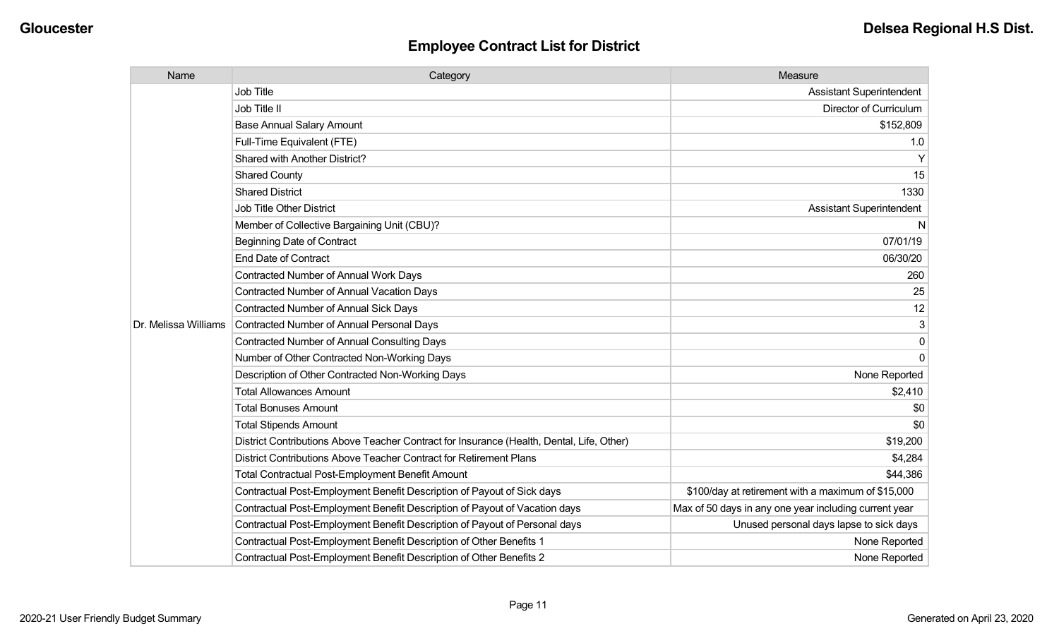| Name                 | Category                                                                                  | Measure                                               |
|----------------------|-------------------------------------------------------------------------------------------|-------------------------------------------------------|
|                      | <b>Job Title</b>                                                                          | <b>Assistant Superintendent</b>                       |
|                      | Job Title II                                                                              | Director of Curriculum                                |
|                      | <b>Base Annual Salary Amount</b>                                                          | \$152,809                                             |
|                      | Full-Time Equivalent (FTE)                                                                | 1.0                                                   |
|                      | Shared with Another District?                                                             | Y                                                     |
|                      | <b>Shared County</b>                                                                      | 15                                                    |
|                      | <b>Shared District</b>                                                                    | 1330                                                  |
|                      | Job Title Other District                                                                  | <b>Assistant Superintendent</b>                       |
|                      | Member of Collective Bargaining Unit (CBU)?                                               | <sub>N</sub>                                          |
|                      | <b>Beginning Date of Contract</b>                                                         | 07/01/19                                              |
|                      | <b>End Date of Contract</b>                                                               | 06/30/20                                              |
|                      | <b>Contracted Number of Annual Work Days</b>                                              | 260                                                   |
|                      | Contracted Number of Annual Vacation Days                                                 | 25                                                    |
|                      | Contracted Number of Annual Sick Days                                                     | 12                                                    |
| Dr. Melissa Williams | Contracted Number of Annual Personal Days                                                 |                                                       |
|                      | <b>Contracted Number of Annual Consulting Days</b>                                        | $\Omega$                                              |
|                      | Number of Other Contracted Non-Working Days                                               | $\Omega$                                              |
|                      | Description of Other Contracted Non-Working Days                                          | None Reported                                         |
|                      | <b>Total Allowances Amount</b>                                                            | \$2,410                                               |
|                      | <b>Total Bonuses Amount</b>                                                               | \$0                                                   |
|                      | <b>Total Stipends Amount</b>                                                              | \$0                                                   |
|                      | District Contributions Above Teacher Contract for Insurance (Health, Dental, Life, Other) | \$19,200                                              |
|                      | District Contributions Above Teacher Contract for Retirement Plans                        | \$4,284                                               |
|                      | <b>Total Contractual Post-Employment Benefit Amount</b>                                   | \$44,386                                              |
|                      | Contractual Post-Employment Benefit Description of Payout of Sick days                    | \$100/day at retirement with a maximum of \$15,000    |
|                      | Contractual Post-Employment Benefit Description of Payout of Vacation days                | Max of 50 days in any one year including current year |
|                      | Contractual Post-Employment Benefit Description of Payout of Personal days                | Unused personal days lapse to sick days               |
|                      | Contractual Post-Employment Benefit Description of Other Benefits 1                       | None Reported                                         |
|                      | Contractual Post-Employment Benefit Description of Other Benefits 2                       | None Reported                                         |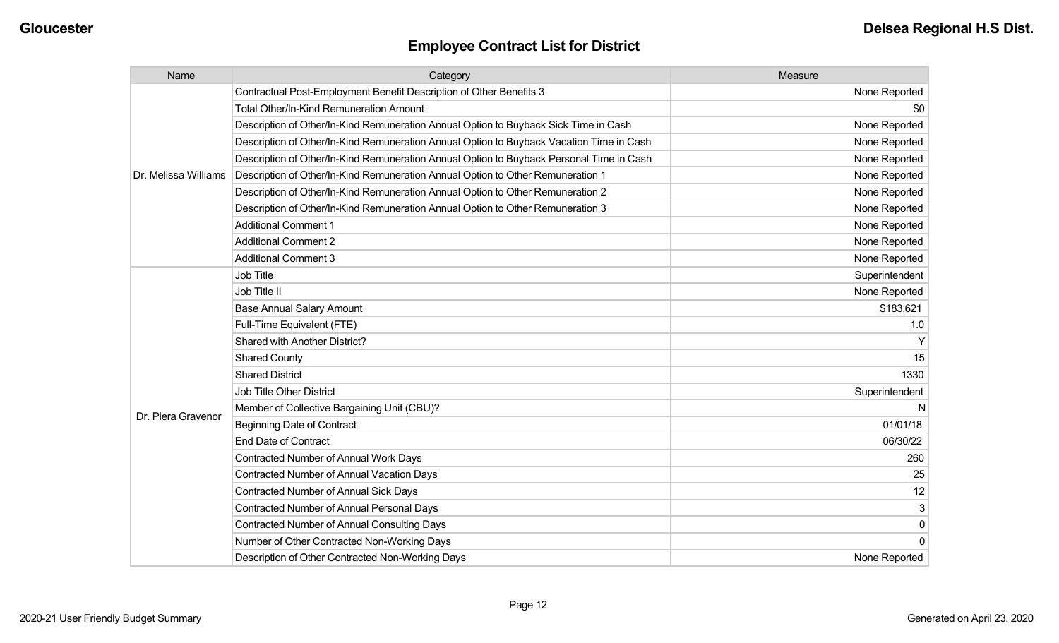| Name                 | Category                                                                                 | Measure        |
|----------------------|------------------------------------------------------------------------------------------|----------------|
|                      | Contractual Post-Employment Benefit Description of Other Benefits 3                      | None Reported  |
|                      | <b>Total Other/In-Kind Remuneration Amount</b>                                           | \$0            |
|                      | Description of Other/In-Kind Remuneration Annual Option to Buyback Sick Time in Cash     | None Reported  |
|                      | Description of Other/In-Kind Remuneration Annual Option to Buyback Vacation Time in Cash | None Reported  |
|                      | Description of Other/In-Kind Remuneration Annual Option to Buyback Personal Time in Cash | None Reported  |
| Dr. Melissa Williams | Description of Other/In-Kind Remuneration Annual Option to Other Remuneration 1          | None Reported  |
|                      | Description of Other/In-Kind Remuneration Annual Option to Other Remuneration 2          | None Reported  |
|                      | Description of Other/In-Kind Remuneration Annual Option to Other Remuneration 3          | None Reported  |
|                      | <b>Additional Comment 1</b>                                                              | None Reported  |
|                      | <b>Additional Comment 2</b>                                                              | None Reported  |
|                      | <b>Additional Comment 3</b>                                                              | None Reported  |
|                      | <b>Job Title</b>                                                                         | Superintendent |
|                      | Job Title II                                                                             | None Reported  |
|                      | <b>Base Annual Salary Amount</b>                                                         | \$183,621      |
|                      | Full-Time Equivalent (FTE)                                                               | 1.0            |
|                      | <b>Shared with Another District?</b>                                                     |                |
|                      | <b>Shared County</b>                                                                     | 15             |
|                      | <b>Shared District</b>                                                                   | 1330           |
|                      | <b>Job Title Other District</b>                                                          | Superintendent |
|                      | Member of Collective Bargaining Unit (CBU)?                                              | N              |
| Dr. Piera Gravenor   | <b>Beginning Date of Contract</b>                                                        | 01/01/18       |
|                      | <b>End Date of Contract</b>                                                              | 06/30/22       |
|                      | Contracted Number of Annual Work Days                                                    | 260            |
|                      | <b>Contracted Number of Annual Vacation Days</b>                                         | 25             |
|                      | Contracted Number of Annual Sick Days                                                    | 12             |
|                      | Contracted Number of Annual Personal Days                                                | 3              |
|                      | <b>Contracted Number of Annual Consulting Days</b>                                       | 0              |
|                      | Number of Other Contracted Non-Working Days                                              |                |
|                      | Description of Other Contracted Non-Working Days                                         | None Reported  |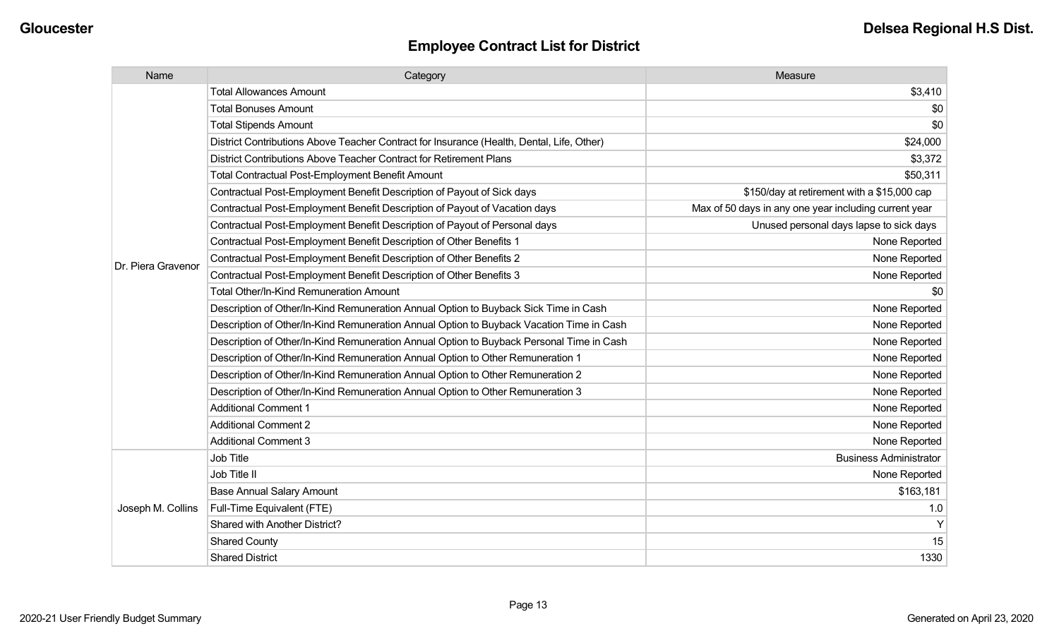| Name               | Category                                                                                  | Measure                                               |
|--------------------|-------------------------------------------------------------------------------------------|-------------------------------------------------------|
|                    | <b>Total Allowances Amount</b>                                                            | \$3,410                                               |
|                    | <b>Total Bonuses Amount</b>                                                               | \$0                                                   |
|                    | <b>Total Stipends Amount</b>                                                              | \$0                                                   |
|                    | District Contributions Above Teacher Contract for Insurance (Health, Dental, Life, Other) | \$24,000                                              |
|                    | District Contributions Above Teacher Contract for Retirement Plans                        | \$3,372                                               |
|                    | Total Contractual Post-Employment Benefit Amount                                          | \$50,311                                              |
|                    | Contractual Post-Employment Benefit Description of Payout of Sick days                    | \$150/day at retirement with a \$15,000 cap           |
|                    | Contractual Post-Employment Benefit Description of Payout of Vacation days                | Max of 50 days in any one year including current year |
|                    | Contractual Post-Employment Benefit Description of Payout of Personal days                | Unused personal days lapse to sick days               |
|                    | Contractual Post-Employment Benefit Description of Other Benefits 1                       | None Reported                                         |
| Dr. Piera Gravenor | Contractual Post-Employment Benefit Description of Other Benefits 2                       | None Reported                                         |
|                    | Contractual Post-Employment Benefit Description of Other Benefits 3                       | None Reported                                         |
|                    | <b>Total Other/In-Kind Remuneration Amount</b>                                            | \$0                                                   |
|                    | Description of Other/In-Kind Remuneration Annual Option to Buyback Sick Time in Cash      | None Reported                                         |
|                    | Description of Other/In-Kind Remuneration Annual Option to Buyback Vacation Time in Cash  | None Reported                                         |
|                    | Description of Other/In-Kind Remuneration Annual Option to Buyback Personal Time in Cash  | None Reported                                         |
|                    | Description of Other/In-Kind Remuneration Annual Option to Other Remuneration 1           | None Reported                                         |
|                    | Description of Other/In-Kind Remuneration Annual Option to Other Remuneration 2           | None Reported                                         |
|                    | Description of Other/In-Kind Remuneration Annual Option to Other Remuneration 3           | None Reported                                         |
|                    | <b>Additional Comment 1</b>                                                               | None Reported                                         |
|                    | <b>Additional Comment 2</b>                                                               | None Reported                                         |
|                    | <b>Additional Comment 3</b>                                                               | None Reported                                         |
|                    | Job Title                                                                                 | <b>Business Administrator</b>                         |
| Joseph M. Collins  | Job Title II                                                                              | None Reported                                         |
|                    | <b>Base Annual Salary Amount</b>                                                          | \$163,181                                             |
|                    | Full-Time Equivalent (FTE)                                                                | 1.0                                                   |
|                    | Shared with Another District?                                                             | Y                                                     |
|                    | <b>Shared County</b>                                                                      | 15                                                    |
|                    | <b>Shared District</b>                                                                    | 1330                                                  |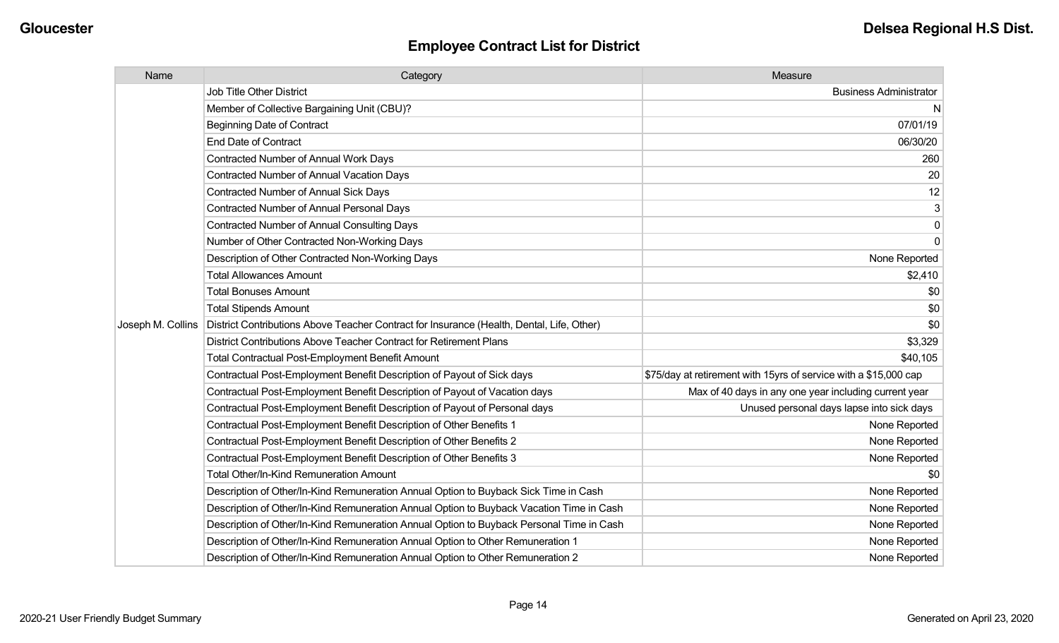| Name              | Category                                                                                  | Measure                                                          |
|-------------------|-------------------------------------------------------------------------------------------|------------------------------------------------------------------|
|                   | <b>Job Title Other District</b>                                                           | <b>Business Administrator</b>                                    |
|                   | Member of Collective Bargaining Unit (CBU)?                                               | N                                                                |
|                   | <b>Beginning Date of Contract</b>                                                         | 07/01/19                                                         |
|                   | End Date of Contract                                                                      | 06/30/20                                                         |
|                   | Contracted Number of Annual Work Days                                                     | 260                                                              |
|                   | <b>Contracted Number of Annual Vacation Days</b>                                          | 20                                                               |
|                   | <b>Contracted Number of Annual Sick Days</b>                                              | 12                                                               |
|                   | <b>Contracted Number of Annual Personal Days</b>                                          | 3                                                                |
|                   | <b>Contracted Number of Annual Consulting Days</b>                                        | $\mathbf 0$                                                      |
|                   | Number of Other Contracted Non-Working Days                                               | $\Omega$                                                         |
|                   | Description of Other Contracted Non-Working Days                                          | None Reported                                                    |
|                   | <b>Total Allowances Amount</b>                                                            | \$2,410                                                          |
|                   | <b>Total Bonuses Amount</b>                                                               | \$0                                                              |
|                   | <b>Total Stipends Amount</b>                                                              | \$0                                                              |
| Joseph M. Collins | District Contributions Above Teacher Contract for Insurance (Health, Dental, Life, Other) | \$0                                                              |
|                   | District Contributions Above Teacher Contract for Retirement Plans                        | \$3,329                                                          |
|                   | <b>Total Contractual Post-Employment Benefit Amount</b>                                   | \$40,105                                                         |
|                   | Contractual Post-Employment Benefit Description of Payout of Sick days                    | \$75/day at retirement with 15yrs of service with a \$15,000 cap |
|                   | Contractual Post-Employment Benefit Description of Payout of Vacation days                | Max of 40 days in any one year including current year            |
|                   | Contractual Post-Employment Benefit Description of Payout of Personal days                | Unused personal days lapse into sick days                        |
|                   | Contractual Post-Employment Benefit Description of Other Benefits 1                       | None Reported                                                    |
|                   | Contractual Post-Employment Benefit Description of Other Benefits 2                       | None Reported                                                    |
|                   | Contractual Post-Employment Benefit Description of Other Benefits 3                       | None Reported                                                    |
|                   | Total Other/In-Kind Remuneration Amount                                                   | \$0                                                              |
|                   | Description of Other/In-Kind Remuneration Annual Option to Buyback Sick Time in Cash      | None Reported                                                    |
|                   | Description of Other/In-Kind Remuneration Annual Option to Buyback Vacation Time in Cash  | None Reported                                                    |
|                   | Description of Other/In-Kind Remuneration Annual Option to Buyback Personal Time in Cash  | None Reported                                                    |
|                   | Description of Other/In-Kind Remuneration Annual Option to Other Remuneration 1           | None Reported                                                    |
|                   | Description of Other/In-Kind Remuneration Annual Option to Other Remuneration 2           | None Reported                                                    |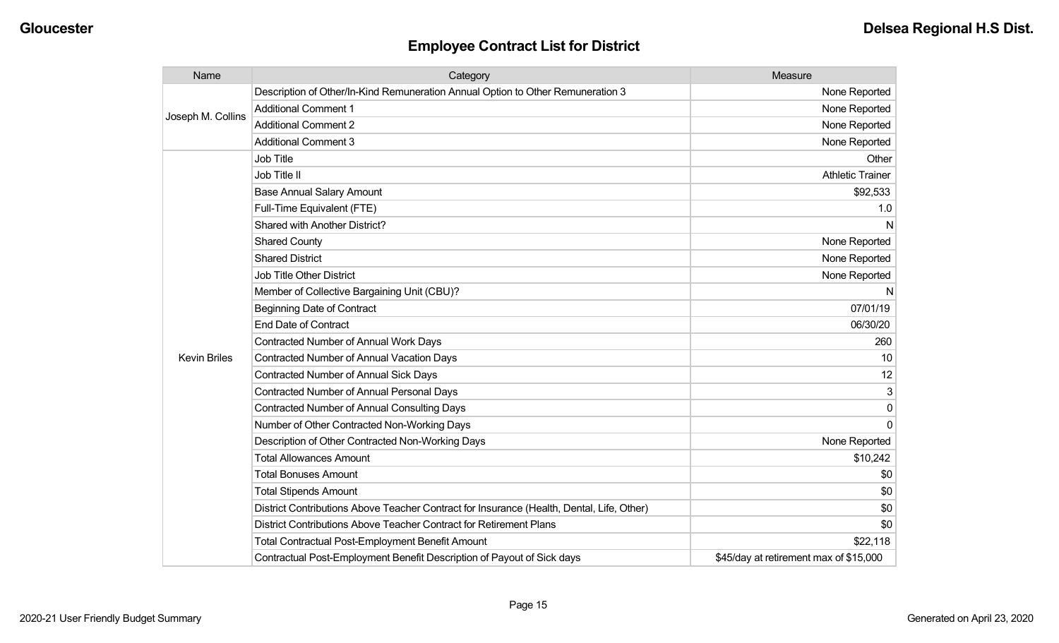| Name                | Category                                                                                  | Measure                                |
|---------------------|-------------------------------------------------------------------------------------------|----------------------------------------|
| Joseph M. Collins   | Description of Other/In-Kind Remuneration Annual Option to Other Remuneration 3           | None Reported                          |
|                     | <b>Additional Comment 1</b>                                                               | None Reported                          |
|                     | <b>Additional Comment 2</b>                                                               | None Reported                          |
|                     | <b>Additional Comment 3</b>                                                               | None Reported                          |
|                     | Job Title                                                                                 | Other                                  |
|                     | Job Title II                                                                              | <b>Athletic Trainer</b>                |
|                     | <b>Base Annual Salary Amount</b>                                                          | \$92,533                               |
|                     | Full-Time Equivalent (FTE)                                                                | 1.0                                    |
|                     | Shared with Another District?                                                             | N                                      |
|                     | <b>Shared County</b>                                                                      | None Reported                          |
|                     | <b>Shared District</b>                                                                    | None Reported                          |
|                     | <b>Job Title Other District</b>                                                           | None Reported                          |
|                     | Member of Collective Bargaining Unit (CBU)?                                               | N                                      |
|                     | <b>Beginning Date of Contract</b>                                                         | 07/01/19                               |
|                     | <b>End Date of Contract</b>                                                               | 06/30/20                               |
|                     | Contracted Number of Annual Work Days                                                     | 260                                    |
| <b>Kevin Briles</b> | Contracted Number of Annual Vacation Days                                                 | 10                                     |
|                     | <b>Contracted Number of Annual Sick Days</b>                                              | 12                                     |
|                     | <b>Contracted Number of Annual Personal Days</b>                                          | 3                                      |
|                     | <b>Contracted Number of Annual Consulting Days</b>                                        | 0                                      |
|                     | Number of Other Contracted Non-Working Days                                               | $\Omega$                               |
|                     | Description of Other Contracted Non-Working Days                                          | None Reported                          |
|                     | <b>Total Allowances Amount</b>                                                            | \$10,242                               |
|                     | <b>Total Bonuses Amount</b>                                                               | \$0                                    |
|                     | <b>Total Stipends Amount</b>                                                              | \$0                                    |
|                     | District Contributions Above Teacher Contract for Insurance (Health, Dental, Life, Other) | \$0                                    |
|                     | District Contributions Above Teacher Contract for Retirement Plans                        | \$0                                    |
|                     | <b>Total Contractual Post-Employment Benefit Amount</b>                                   | \$22,118                               |
|                     | Contractual Post-Employment Benefit Description of Payout of Sick days                    | \$45/day at retirement max of \$15,000 |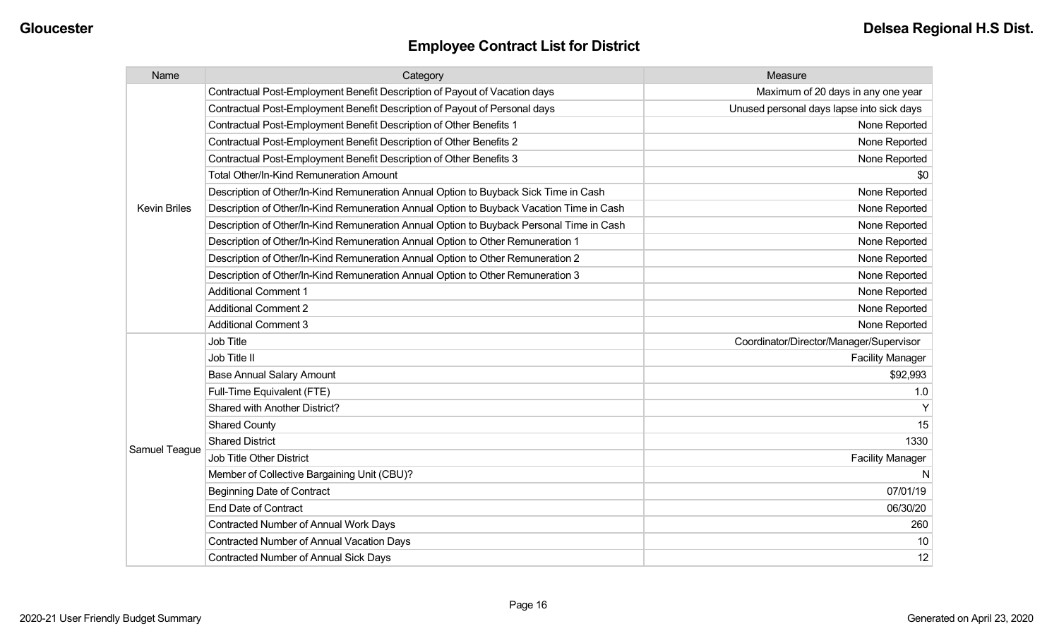| Name                | Category                                                                                 | Measure                                   |
|---------------------|------------------------------------------------------------------------------------------|-------------------------------------------|
|                     | Contractual Post-Employment Benefit Description of Payout of Vacation days               | Maximum of 20 days in any one year        |
|                     | Contractual Post-Employment Benefit Description of Payout of Personal days               | Unused personal days lapse into sick days |
|                     | Contractual Post-Employment Benefit Description of Other Benefits 1                      | None Reported                             |
|                     | Contractual Post-Employment Benefit Description of Other Benefits 2                      | None Reported                             |
|                     | Contractual Post-Employment Benefit Description of Other Benefits 3                      | None Reported                             |
|                     | Total Other/In-Kind Remuneration Amount                                                  | \$0                                       |
|                     | Description of Other/In-Kind Remuneration Annual Option to Buyback Sick Time in Cash     | None Reported                             |
| <b>Kevin Briles</b> | Description of Other/In-Kind Remuneration Annual Option to Buyback Vacation Time in Cash | None Reported                             |
|                     | Description of Other/In-Kind Remuneration Annual Option to Buyback Personal Time in Cash | None Reported                             |
|                     | Description of Other/In-Kind Remuneration Annual Option to Other Remuneration 1          | None Reported                             |
|                     | Description of Other/In-Kind Remuneration Annual Option to Other Remuneration 2          | None Reported                             |
|                     | Description of Other/In-Kind Remuneration Annual Option to Other Remuneration 3          | None Reported                             |
|                     | <b>Additional Comment 1</b>                                                              | None Reported                             |
|                     | <b>Additional Comment 2</b>                                                              | None Reported                             |
|                     | <b>Additional Comment 3</b>                                                              | None Reported                             |
|                     | Job Title                                                                                | Coordinator/Director/Manager/Supervisor   |
|                     | Job Title II                                                                             | <b>Facility Manager</b>                   |
|                     | <b>Base Annual Salary Amount</b>                                                         | \$92,993                                  |
|                     | Full-Time Equivalent (FTE)                                                               | 1.0                                       |
|                     | Shared with Another District?                                                            | Y                                         |
|                     | <b>Shared County</b>                                                                     | 15                                        |
| Samuel Teague       | <b>Shared District</b>                                                                   | 1330                                      |
|                     | Job Title Other District                                                                 | <b>Facility Manager</b>                   |
|                     | Member of Collective Bargaining Unit (CBU)?                                              | N                                         |
|                     | <b>Beginning Date of Contract</b>                                                        | 07/01/19                                  |
|                     | <b>End Date of Contract</b>                                                              | 06/30/20                                  |
|                     | Contracted Number of Annual Work Days                                                    | 260                                       |
|                     | <b>Contracted Number of Annual Vacation Days</b>                                         | 10                                        |
|                     | <b>Contracted Number of Annual Sick Days</b>                                             | 12                                        |